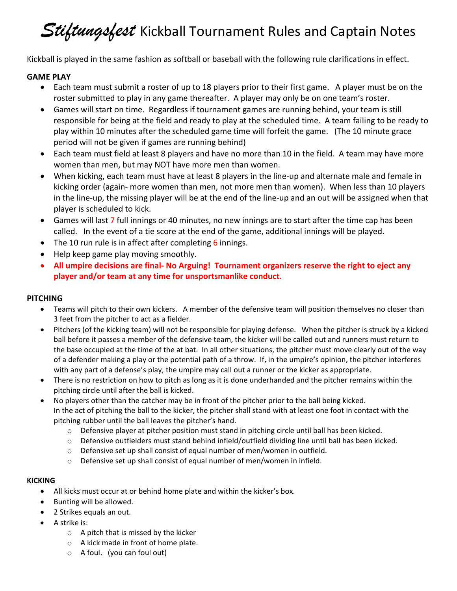# **Stiftungsfest** Kickball Tournament Rules and Captain Notes

Kickball is played in the same fashion as softball or baseball with the following rule clarifications in effect.

### **GAME PLAY**

- Each team must submit a roster of up to 18 players prior to their first game. A player must be on the roster submitted to play in any game thereafter. A player may only be on one team's roster.
- Games will start on time. Regardless if tournament games are running behind, your team is still responsible for being at the field and ready to play at the scheduled time. A team failing to be ready to play within 10 minutes after the scheduled game time will forfeit the game. (The 10 minute grace period will not be given if games are running behind)
- Each team must field at least 8 players and have no more than 10 in the field. A team may have more women than men, but may NOT have more men than women.
- When kicking, each team must have at least 8 players in the line-up and alternate male and female in kicking order (again- more women than men, not more men than women). When less than 10 players in the line-up, the missing player will be at the end of the line-up and an out will be assigned when that player is scheduled to kick.
- Games will last 7 full innings or 40 minutes, no new innings are to start after the time cap has been called. In the event of a tie score at the end of the game, additional innings will be played.
- The 10 run rule is in affect after completing 6 innings.
- Help keep game play moving smoothly.
- **All umpire decisions are final- No Arguing! Tournament organizers reserve the right to eject any player and/or team at any time for unsportsmanlike conduct.**

### **PITCHING**

- Teams will pitch to their own kickers. A member of the defensive team will position themselves no closer than 3 feet from the pitcher to act as a fielder.
- Pitchers (of the kicking team) will not be responsible for playing defense. When the pitcher is struck by a kicked ball before it passes a member of the defensive team, the kicker will be called out and runners must return to the base occupied at the time of the at bat. In all other situations, the pitcher must move clearly out of the way of a defender making a play or the potential path of a throw. If, in the umpire's opinion, the pitcher interferes with any part of a defense's play, the umpire may call out a runner or the kicker as appropriate.
- There is no restriction on how to pitch as long as it is done underhanded and the pitcher remains within the pitching circle until after the ball is kicked.
- No players other than the catcher may be in front of the pitcher prior to the ball being kicked. In the act of pitching the ball to the kicker, the pitcher shall stand with at least one foot in contact with the pitching rubber until the ball leaves the pitcher's hand.
	- o Defensive player at pitcher position must stand in pitching circle until ball has been kicked.
	- o Defensive outfielders must stand behind infield/outfield dividing line until ball has been kicked.
	- $\circ$  Defensive set up shall consist of equal number of men/women in outfield.
	- o Defensive set up shall consist of equal number of men/women in infield.

### **KICKING**

- All kicks must occur at or behind home plate and within the kicker's box.
- Bunting will be allowed.
- 2 Strikes equals an out.
- A strike is:
	- o A pitch that is missed by the kicker
	- o A kick made in front of home plate.
	- o A foul. (you can foul out)